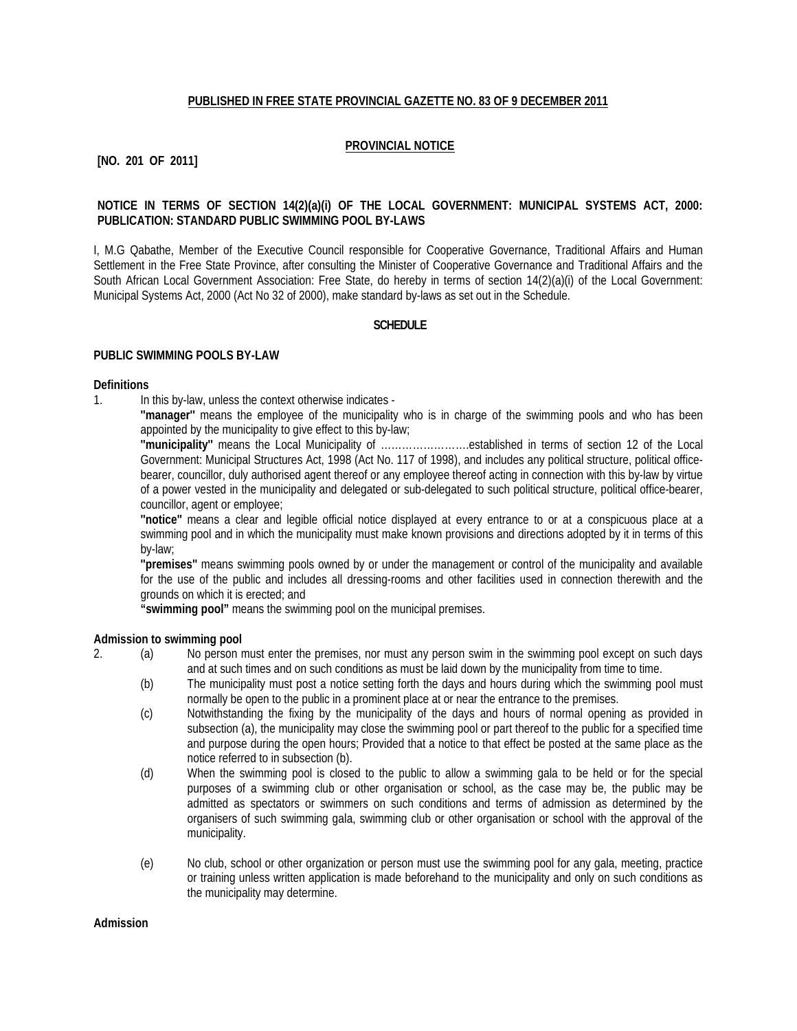# **PUBLISHED IN FREE STATE PROVINCIAL GAZETTE NO. 83 OF 9 DECEMBER 2011**

## **PROVINCIAL NOTICE**

# **[NO. 201 OF 2011]**

# **NOTICE IN TERMS OF SECTION 14(2)(a)(i) OF THE LOCAL GOVERNMENT: MUNICIPAL SYSTEMS ACT, 2000: PUBLICATION: STANDARD PUBLIC SWIMMING POOL BY-LAWS**

I, M.G Qabathe, Member of the Executive Council responsible for Cooperative Governance, Traditional Affairs and Human Settlement in the Free State Province, after consulting the Minister of Cooperative Governance and Traditional Affairs and the South African Local Government Association: Free State, do hereby in terms of section 14(2)(a)(i) of the Local Government: Municipal Systems Act, 2000 (Act No 32 of 2000), make standard by-laws as set out in the Schedule.

### **SCHEDULE**

### **PUBLIC SWIMMING POOLS BY-LAW**

#### **Definitions**

1. In this by-law, unless the context otherwise indicates -

**''manager''** means the employee of the municipality who is in charge of the swimming pools and who has been appointed by the municipality to give effect to this by-law;

**''municipality''** means the Local Municipality of …………………….established in terms of section 12 of the Local Government: Municipal Structures Act, 1998 (Act No. 117 of 1998), and includes any political structure, political officebearer, councillor, duly authorised agent thereof or any employee thereof acting in connection with this by-law by virtue of a power vested in the municipality and delegated or sub-delegated to such political structure, political office-bearer, councillor, agent or employee;

**''notice''** means a clear and legible official notice displayed at every entrance to or at a conspicuous place at a swimming pool and in which the municipality must make known provisions and directions adopted by it in terms of this by-law;

**''premises''** means swimming pools owned by or under the management or control of the municipality and available for the use of the public and includes all dressing-rooms and other facilities used in connection therewith and the grounds on which it is erected; and

**"swimming pool"** means the swimming pool on the municipal premises.

#### **Admission to swimming pool**

- 2. (a) No person must enter the premises, nor must any person swim in the swimming pool except on such days and at such times and on such conditions as must be laid down by the municipality from time to time.
	- (b) The municipality must post a notice setting forth the days and hours during which the swimming pool must normally be open to the public in a prominent place at or near the entrance to the premises.
	- (c) Notwithstanding the fixing by the municipality of the days and hours of normal opening as provided in subsection (a), the municipality may close the swimming pool or part thereof to the public for a specified time and purpose during the open hours; Provided that a notice to that effect be posted at the same place as the notice referred to in subsection (b).
	- (d) When the swimming pool is closed to the public to allow a swimming gala to be held or for the special purposes of a swimming club or other organisation or school, as the case may be, the public may be admitted as spectators or swimmers on such conditions and terms of admission as determined by the organisers of such swimming gala, swimming club or other organisation or school with the approval of the municipality.
	- (e) No club, school or other organization or person must use the swimming pool for any gala, meeting, practice or training unless written application is made beforehand to the municipality and only on such conditions as the municipality may determine.

#### **Admission**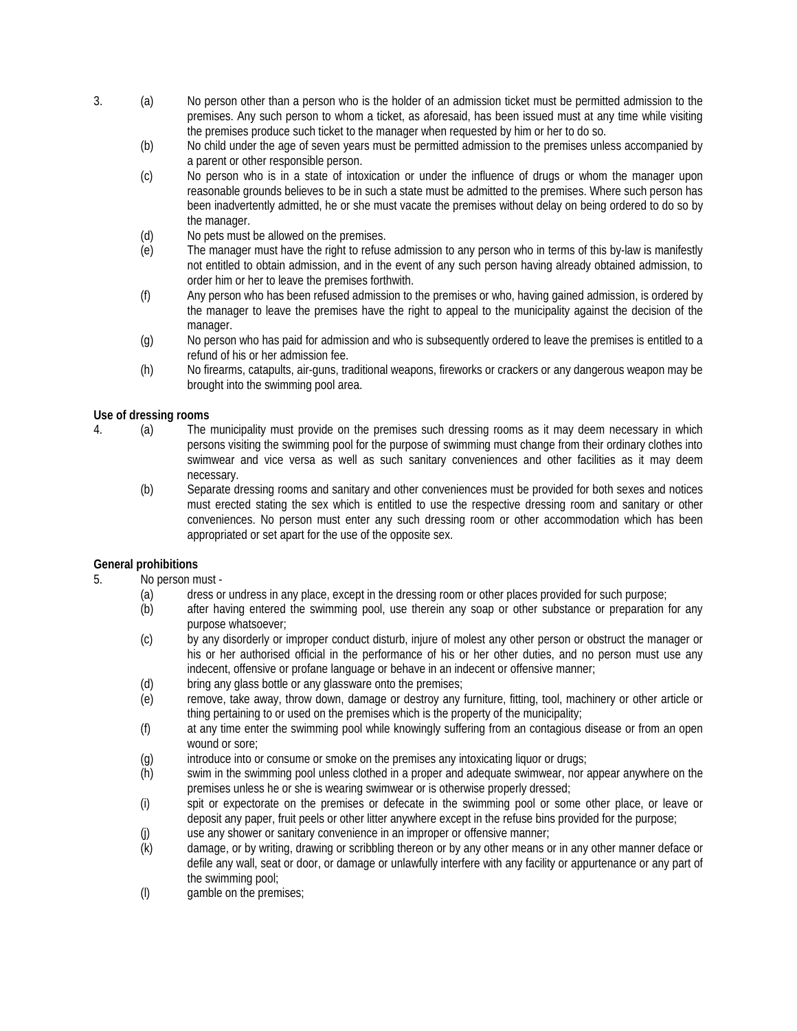- 3. (a) No person other than a person who is the holder of an admission ticket must be permitted admission to the premises. Any such person to whom a ticket, as aforesaid, has been issued must at any time while visiting the premises produce such ticket to the manager when requested by him or her to do so.
	- (b) No child under the age of seven years must be permitted admission to the premises unless accompanied by a parent or other responsible person.
	- (c) No person who is in a state of intoxication or under the influence of drugs or whom the manager upon reasonable grounds believes to be in such a state must be admitted to the premises. Where such person has been inadvertently admitted, he or she must vacate the premises without delay on being ordered to do so by the manager.
	- (d) No pets must be allowed on the premises.
	- (e) The manager must have the right to refuse admission to any person who in terms of this by-law is manifestly not entitled to obtain admission, and in the event of any such person having already obtained admission, to order him or her to leave the premises forthwith.
	- (f) Any person who has been refused admission to the premises or who, having gained admission, is ordered by the manager to leave the premises have the right to appeal to the municipality against the decision of the manager.
	- (g) No person who has paid for admission and who is subsequently ordered to leave the premises is entitled to a refund of his or her admission fee.
	- (h) No firearms, catapults, air-guns, traditional weapons, fireworks or crackers or any dangerous weapon may be brought into the swimming pool area.

# **Use of dressing rooms**

- 4. (a) The municipality must provide on the premises such dressing rooms as it may deem necessary in which persons visiting the swimming pool for the purpose of swimming must change from their ordinary clothes into swimwear and vice versa as well as such sanitary conveniences and other facilities as it may deem necessary.
	- (b) Separate dressing rooms and sanitary and other conveniences must be provided for both sexes and notices must erected stating the sex which is entitled to use the respective dressing room and sanitary or other conveniences. No person must enter any such dressing room or other accommodation which has been appropriated or set apart for the use of the opposite sex.

# **General prohibitions**

- 5. No person must
	-
	- (a) dress or undress in any place, except in the dressing room or other places provided for such purpose;<br>(b) after having entered the swimming pool, use therein any soap or other substance or preparation i after having entered the swimming pool, use therein any soap or other substance or preparation for any purpose whatsoever;
	- (c) by any disorderly or improper conduct disturb, injure of molest any other person or obstruct the manager or his or her authorised official in the performance of his or her other duties, and no person must use any indecent, offensive or profane language or behave in an indecent or offensive manner;
	- (d) bring any glass bottle or any glassware onto the premises;
	- (e) remove, take away, throw down, damage or destroy any furniture, fitting, tool, machinery or other article or thing pertaining to or used on the premises which is the property of the municipality;
	- (f) at any time enter the swimming pool while knowingly suffering from an contagious disease or from an open wound or sore;
	- (g) introduce into or consume or smoke on the premises any intoxicating liquor or drugs;
	- (h) swim in the swimming pool unless clothed in a proper and adequate swimwear, nor appear anywhere on the premises unless he or she is wearing swimwear or is otherwise properly dressed;
	- (i) spit or expectorate on the premises or defecate in the swimming pool or some other place, or leave or deposit any paper, fruit peels or other litter anywhere except in the refuse bins provided for the purpose;
	- (j) use any shower or sanitary convenience in an improper or offensive manner;
	- (k) damage, or by writing, drawing or scribbling thereon or by any other means or in any other manner deface or defile any wall, seat or door, or damage or unlawfully interfere with any facility or appurtenance or any part of the swimming pool;
	- (l) gamble on the premises;